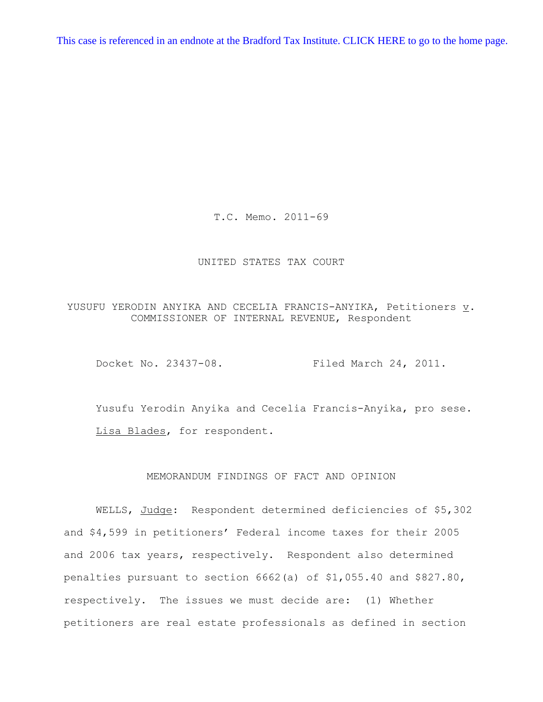[This case is referenced in an endnote at the Bradford Tax Institute. CLICK HERE to go to the home page.](http://bradfordtaxinstitute.com/index1.aspx)

T.C. Memo. 2011-69

## UNITED STATES TAX COURT

YUSUFU YERODIN ANYIKA AND CECELIA FRANCIS-ANYIKA, Petitioners v. COMMISSIONER OF INTERNAL REVENUE, Respondent

Docket No. 23437-08. Filed March 24, 2011.

Yusufu Yerodin Anyika and Cecelia Francis-Anyika, pro sese. Lisa Blades, for respondent.

## MEMORANDUM FINDINGS OF FACT AND OPINION

WELLS, Judge: Respondent determined deficiencies of \$5,302 and \$4,599 in petitioners' Federal income taxes for their 2005 and 2006 tax years, respectively. Respondent also determined penalties pursuant to section 6662(a) of \$1,055.40 and \$827.80, respectively. The issues we must decide are: (1) Whether petitioners are real estate professionals as defined in section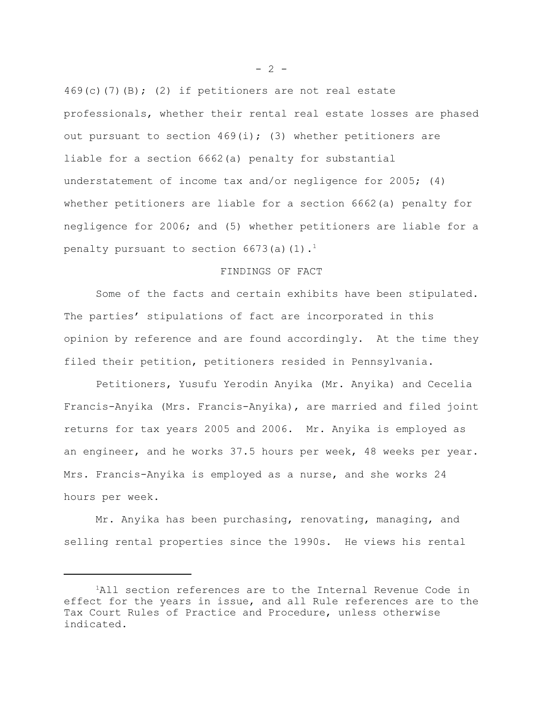$469(c)$ (7)(B); (2) if petitioners are not real estate professionals, whether their rental real estate losses are phased out pursuant to section  $469(i)$ ; (3) whether petitioners are liable for a section 6662(a) penalty for substantial understatement of income tax and/or negligence for 2005; (4) whether petitioners are liable for a section 6662(a) penalty for negligence for 2006; and (5) whether petitioners are liable for a penalty pursuant to section 6673(a)(1).<sup>1</sup>

## FINDINGS OF FACT

Some of the facts and certain exhibits have been stipulated. The parties' stipulations of fact are incorporated in this opinion by reference and are found accordingly. At the time they filed their petition, petitioners resided in Pennsylvania.

Petitioners, Yusufu Yerodin Anyika (Mr. Anyika) and Cecelia Francis-Anyika (Mrs. Francis-Anyika), are married and filed joint returns for tax years 2005 and 2006. Mr. Anyika is employed as an engineer, and he works 37.5 hours per week, 48 weeks per year. Mrs. Francis-Anyika is employed as a nurse, and she works 24 hours per week.

Mr. Anyika has been purchasing, renovating, managing, and selling rental properties since the 1990s. He views his rental

 $- 2 -$ 

<sup>&</sup>lt;sup>1</sup>All section references are to the Internal Revenue Code in effect for the years in issue, and all Rule references are to the Tax Court Rules of Practice and Procedure, unless otherwise indicated.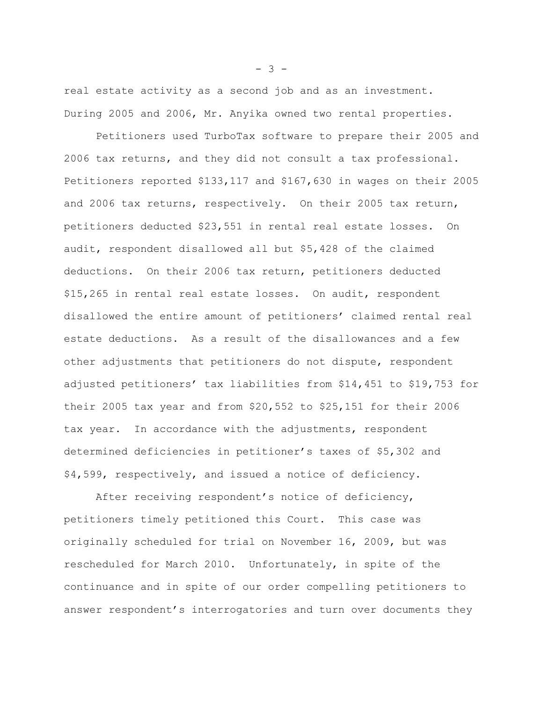real estate activity as a second job and as an investment. During 2005 and 2006, Mr. Anyika owned two rental properties.

Petitioners used TurboTax software to prepare their 2005 and 2006 tax returns, and they did not consult a tax professional. Petitioners reported \$133,117 and \$167,630 in wages on their 2005 and 2006 tax returns, respectively. On their 2005 tax return, petitioners deducted \$23,551 in rental real estate losses. On audit, respondent disallowed all but \$5,428 of the claimed deductions. On their 2006 tax return, petitioners deducted \$15,265 in rental real estate losses. On audit, respondent disallowed the entire amount of petitioners' claimed rental real estate deductions. As a result of the disallowances and a few other adjustments that petitioners do not dispute, respondent adjusted petitioners' tax liabilities from \$14,451 to \$19,753 for their 2005 tax year and from \$20,552 to \$25,151 for their 2006 tax year. In accordance with the adjustments, respondent determined deficiencies in petitioner's taxes of \$5,302 and \$4,599, respectively, and issued a notice of deficiency.

After receiving respondent's notice of deficiency, petitioners timely petitioned this Court. This case was originally scheduled for trial on November 16, 2009, but was rescheduled for March 2010. Unfortunately, in spite of the continuance and in spite of our order compelling petitioners to answer respondent's interrogatories and turn over documents they

 $- 3 -$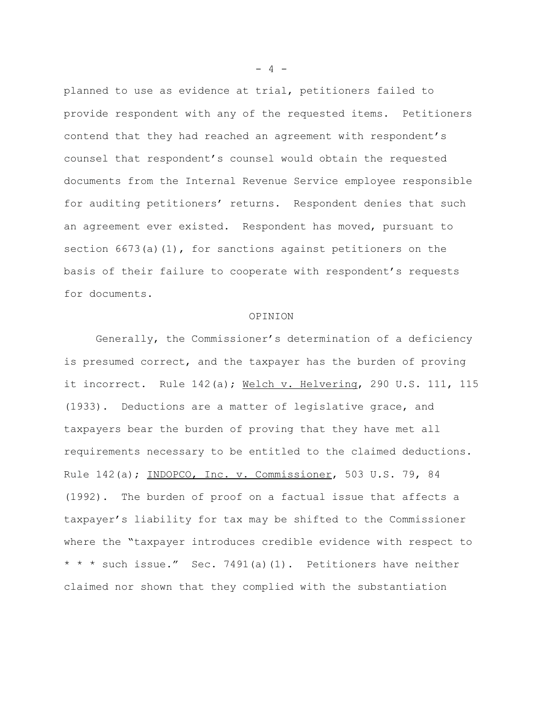planned to use as evidence at trial, petitioners failed to provide respondent with any of the requested items. Petitioners contend that they had reached an agreement with respondent's counsel that respondent's counsel would obtain the requested documents from the Internal Revenue Service employee responsible for auditing petitioners' returns. Respondent denies that such an agreement ever existed. Respondent has moved, pursuant to section  $6673(a)(1)$ , for sanctions against petitioners on the basis of their failure to cooperate with respondent's requests for documents.

## OPINION

Generally, the Commissioner's determination of a deficiency is presumed correct, and the taxpayer has the burden of proving it incorrect. Rule 142(a); Welch v. Helvering, 290 U.S. 111, 115 (1933). Deductions are a matter of legislative grace, and taxpayers bear the burden of proving that they have met all requirements necessary to be entitled to the claimed deductions. Rule 142(a); INDOPCO, Inc. v. Commissioner, 503 U.S. 79, 84 (1992). The burden of proof on a factual issue that affects a taxpayer's liability for tax may be shifted to the Commissioner where the "taxpayer introduces credible evidence with respect to \* \* \* such issue." Sec. 7491(a)(1). Petitioners have neither claimed nor shown that they complied with the substantiation

 $- 4 -$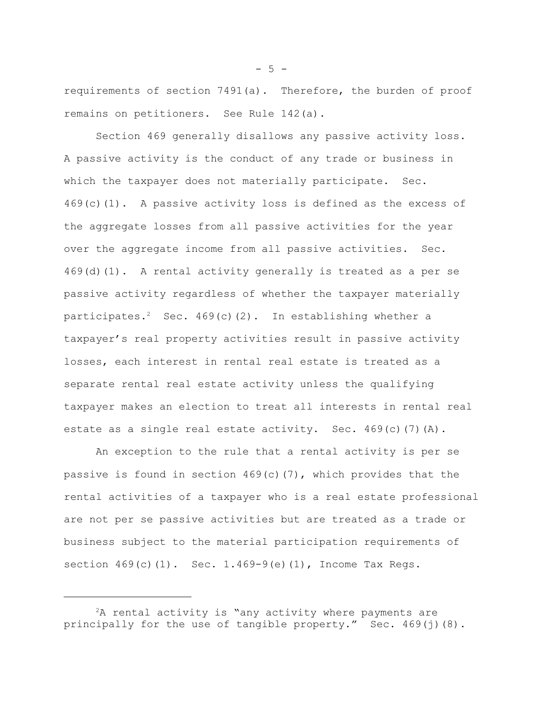requirements of section 7491(a). Therefore, the burden of proof remains on petitioners. See Rule 142(a).

Section 469 generally disallows any passive activity loss. A passive activity is the conduct of any trade or business in which the taxpayer does not materially participate. Sec.  $469(c)(1)$ . A passive activity loss is defined as the excess of the aggregate losses from all passive activities for the year over the aggregate income from all passive activities. Sec. 469(d)(1). A rental activity generally is treated as a per se passive activity regardless of whether the taxpayer materially participates.<sup>2</sup> Sec. 469(c)(2). In establishing whether a taxpayer's real property activities result in passive activity losses, each interest in rental real estate is treated as a separate rental real estate activity unless the qualifying taxpayer makes an election to treat all interests in rental real estate as a single real estate activity. Sec. 469(c)(7)(A).

An exception to the rule that a rental activity is per se passive is found in section  $469(c)(7)$ , which provides that the rental activities of a taxpayer who is a real estate professional are not per se passive activities but are treated as a trade or business subject to the material participation requirements of section  $469(c)(1)$ . Sec.  $1.469-9(e)(1)$ , Income Tax Regs.

 $-5 -$ 

 ${}^{2}$ A rental activity is "any activity where payments are principally for the use of tangible property." Sec.  $469(j)(8)$ .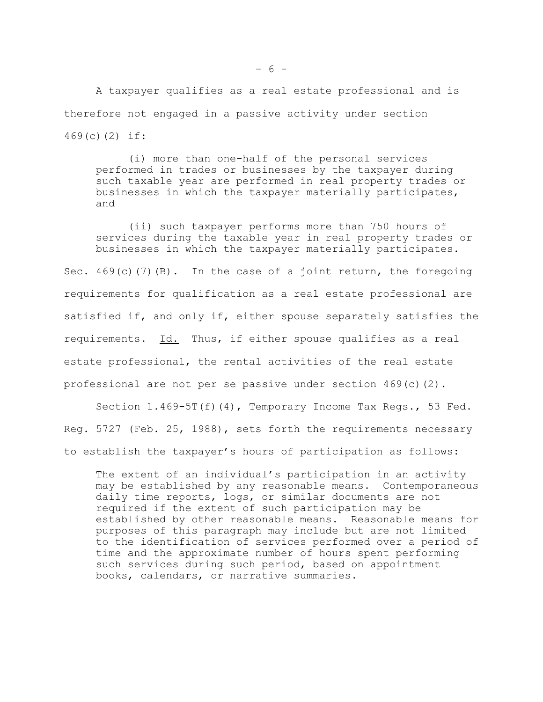A taxpayer qualifies as a real estate professional and is therefore not engaged in a passive activity under section 469(c)(2) if:

(i) more than one-half of the personal services performed in trades or businesses by the taxpayer during such taxable year are performed in real property trades or businesses in which the taxpayer materially participates, and

(ii) such taxpayer performs more than 750 hours of services during the taxable year in real property trades or businesses in which the taxpayer materially participates.

Sec. 469(c)(7)(B). In the case of a joint return, the foregoing requirements for qualification as a real estate professional are satisfied if, and only if, either spouse separately satisfies the requirements. Id. Thus, if either spouse qualifies as a real estate professional, the rental activities of the real estate professional are not per se passive under section  $469(c)(2)$ .

Section 1.469-5T(f)(4), Temporary Income Tax Regs., 53 Fed. Reg. 5727 (Feb. 25, 1988), sets forth the requirements necessary to establish the taxpayer's hours of participation as follows:

The extent of an individual's participation in an activity may be established by any reasonable means. Contemporaneous daily time reports, logs, or similar documents are not required if the extent of such participation may be established by other reasonable means. Reasonable means for purposes of this paragraph may include but are not limited to the identification of services performed over a period of time and the approximate number of hours spent performing such services during such period, based on appointment books, calendars, or narrative summaries.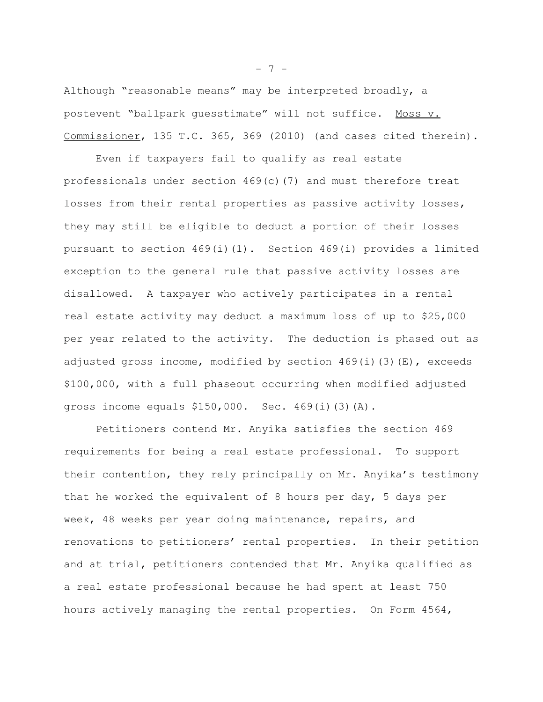Although "reasonable means" may be interpreted broadly, a postevent "ballpark guesstimate" will not suffice. Moss v. Commissioner, 135 T.C. 365, 369 (2010) (and cases cited therein).

Even if taxpayers fail to qualify as real estate professionals under section 469(c)(7) and must therefore treat losses from their rental properties as passive activity losses, they may still be eligible to deduct a portion of their losses pursuant to section 469(i)(1). Section 469(i) provides a limited exception to the general rule that passive activity losses are disallowed. A taxpayer who actively participates in a rental real estate activity may deduct a maximum loss of up to \$25,000 per year related to the activity. The deduction is phased out as adjusted gross income, modified by section  $469(i)(3)(E)$ , exceeds \$100,000, with a full phaseout occurring when modified adjusted gross income equals \$150,000. Sec. 469(i)(3)(A).

Petitioners contend Mr. Anyika satisfies the section 469 requirements for being a real estate professional. To support their contention, they rely principally on Mr. Anyika's testimony that he worked the equivalent of 8 hours per day, 5 days per week, 48 weeks per year doing maintenance, repairs, and renovations to petitioners' rental properties. In their petition and at trial, petitioners contended that Mr. Anyika qualified as a real estate professional because he had spent at least 750 hours actively managing the rental properties. On Form 4564,

 $- 7 -$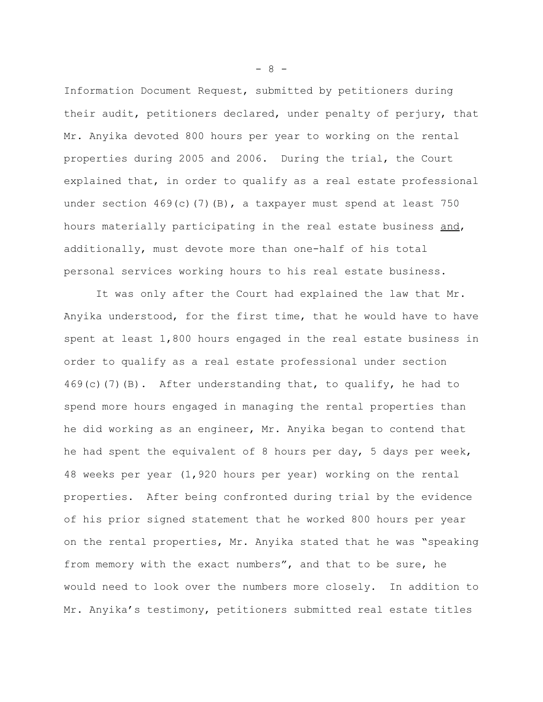Information Document Request, submitted by petitioners during their audit, petitioners declared, under penalty of perjury, that Mr. Anyika devoted 800 hours per year to working on the rental properties during 2005 and 2006. During the trial, the Court explained that, in order to qualify as a real estate professional under section  $469(c)(7)(B)$ , a taxpayer must spend at least 750 hours materially participating in the real estate business and, additionally, must devote more than one-half of his total personal services working hours to his real estate business.

It was only after the Court had explained the law that Mr. Anyika understood, for the first time, that he would have to have spent at least 1,800 hours engaged in the real estate business in order to qualify as a real estate professional under section  $469(c)$  (7)(B). After understanding that, to qualify, he had to spend more hours engaged in managing the rental properties than he did working as an engineer, Mr. Anyika began to contend that he had spent the equivalent of 8 hours per day, 5 days per week, 48 weeks per year (1,920 hours per year) working on the rental properties. After being confronted during trial by the evidence of his prior signed statement that he worked 800 hours per year on the rental properties, Mr. Anyika stated that he was "speaking from memory with the exact numbers", and that to be sure, he would need to look over the numbers more closely. In addition to Mr. Anyika's testimony, petitioners submitted real estate titles

- 8 -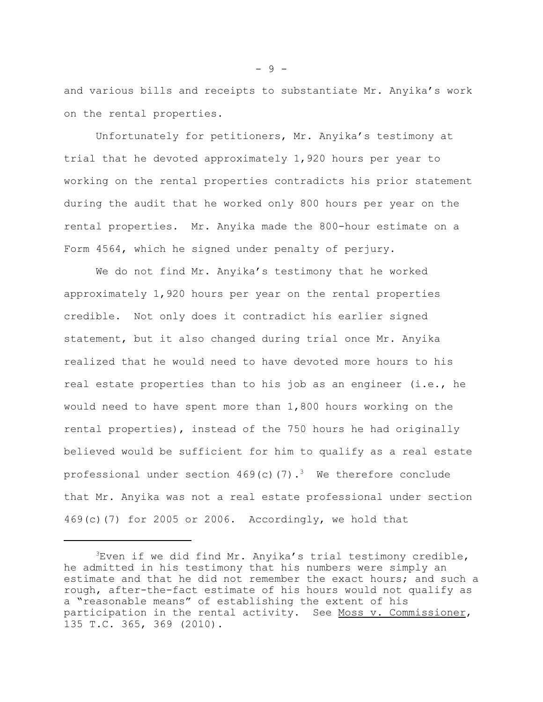and various bills and receipts to substantiate Mr. Anyika's work on the rental properties.

Unfortunately for petitioners, Mr. Anyika's testimony at trial that he devoted approximately 1,920 hours per year to working on the rental properties contradicts his prior statement during the audit that he worked only 800 hours per year on the rental properties. Mr. Anyika made the 800-hour estimate on a Form 4564, which he signed under penalty of perjury.

We do not find Mr. Anyika's testimony that he worked approximately 1,920 hours per year on the rental properties credible. Not only does it contradict his earlier signed statement, but it also changed during trial once Mr. Anyika realized that he would need to have devoted more hours to his real estate properties than to his job as an engineer (i.e., he would need to have spent more than 1,800 hours working on the rental properties), instead of the 750 hours he had originally believed would be sufficient for him to qualify as a real estate professional under section  $469(c)(7)$ .<sup>3</sup> We therefore conclude that Mr. Anyika was not a real estate professional under section 469(c)(7) for 2005 or 2006. Accordingly, we hold that

 $-9 -$ 

 ${}^{3}$ Even if we did find Mr. Anyika's trial testimony credible, he admitted in his testimony that his numbers were simply an estimate and that he did not remember the exact hours; and such a rough, after-the-fact estimate of his hours would not qualify as a "reasonable means" of establishing the extent of his participation in the rental activity. See Moss v. Commissioner, 135 T.C. 365, 369 (2010).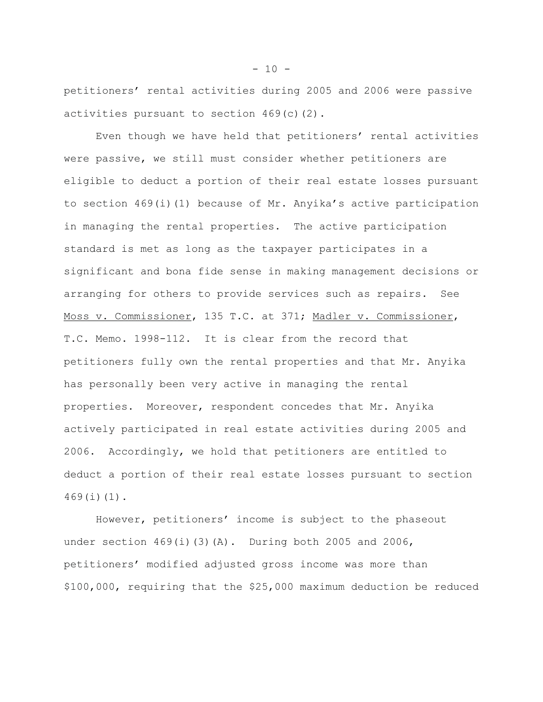petitioners' rental activities during 2005 and 2006 were passive activities pursuant to section 469(c)(2).

Even though we have held that petitioners' rental activities were passive, we still must consider whether petitioners are eligible to deduct a portion of their real estate losses pursuant to section 469(i)(1) because of Mr. Anyika's active participation in managing the rental properties. The active participation standard is met as long as the taxpayer participates in a significant and bona fide sense in making management decisions or arranging for others to provide services such as repairs. See Moss v. Commissioner, 135 T.C. at 371; Madler v. Commissioner, T.C. Memo. 1998-112. It is clear from the record that petitioners fully own the rental properties and that Mr. Anyika has personally been very active in managing the rental properties. Moreover, respondent concedes that Mr. Anyika actively participated in real estate activities during 2005 and 2006. Accordingly, we hold that petitioners are entitled to deduct a portion of their real estate losses pursuant to section 469(i)(1).

However, petitioners' income is subject to the phaseout under section  $469(i)(3)(A)$ . During both 2005 and 2006, petitioners' modified adjusted gross income was more than \$100,000, requiring that the \$25,000 maximum deduction be reduced

 $- 10 -$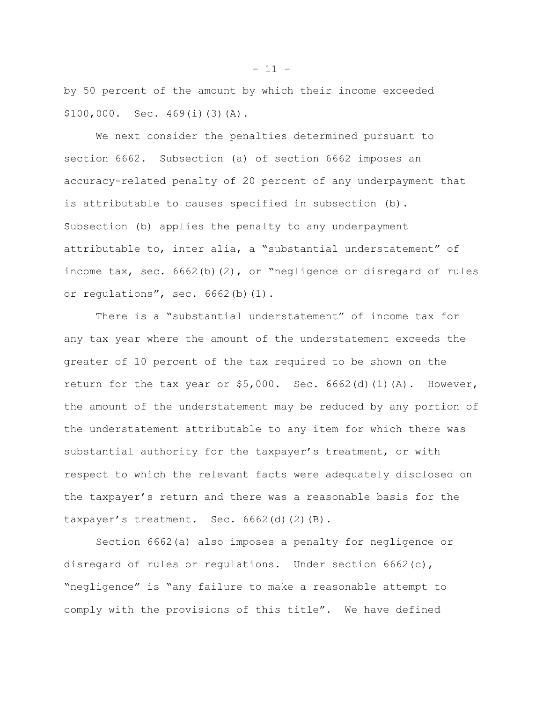by 50 percent of the amount by which their income exceeded \$100,000. Sec. 469(i)(3)(A).

We next consider the penalties determined pursuant to section 6662. Subsection (a) of section 6662 imposes an accuracy-related penalty of 20 percent of any underpayment that is attributable to causes specified in subsection (b). Subsection (b) applies the penalty to any underpayment attributable to, inter alia, a "substantial understatement" of income tax, sec.  $6662(b)(2)$ , or "negligence or disregard of rules or regulations", sec. 6662(b)(1).

There is a "substantial understatement" of income tax for any tax year where the amount of the understatement exceeds the greater of 10 percent of the tax required to be shown on the return for the tax year or  $$5,000$ . Sec.  $6662$ (d)(1)(A). However, the amount of the understatement may be reduced by any portion of the understatement attributable to any item for which there was substantial authority for the taxpayer's treatment, or with respect to which the relevant facts were adequately disclosed on the taxpayer's return and there was a reasonable basis for the taxpayer's treatment. Sec. 6662(d)(2)(B).

Section 6662(a) also imposes a penalty for negligence or disregard of rules or regulations. Under section 6662(c), "negligence" is "any failure to make a reasonable attempt to comply with the provisions of this title". We have defined

 $- 11 -$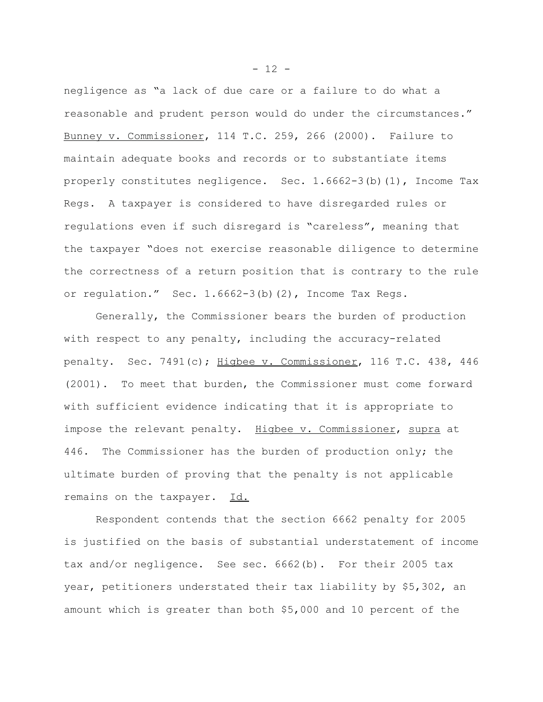negligence as "a lack of due care or a failure to do what a reasonable and prudent person would do under the circumstances." Bunney v. Commissioner, 114 T.C. 259, 266 (2000). Failure to maintain adequate books and records or to substantiate items properly constitutes negligence. Sec. 1.6662-3(b)(1), Income Tax Regs. A taxpayer is considered to have disregarded rules or regulations even if such disregard is "careless", meaning that the taxpayer "does not exercise reasonable diligence to determine the correctness of a return position that is contrary to the rule or regulation." Sec. 1.6662-3(b)(2), Income Tax Regs.

Generally, the Commissioner bears the burden of production with respect to any penalty, including the accuracy-related penalty. Sec. 7491(c); Higbee v. Commissioner, 116 T.C. 438, 446 (2001). To meet that burden, the Commissioner must come forward with sufficient evidence indicating that it is appropriate to impose the relevant penalty. Higbee v. Commissioner, supra at 446. The Commissioner has the burden of production only; the ultimate burden of proving that the penalty is not applicable remains on the taxpayer. Id.

Respondent contends that the section 6662 penalty for 2005 is justified on the basis of substantial understatement of income tax and/or negligence. See sec. 6662(b). For their 2005 tax year, petitioners understated their tax liability by \$5,302, an amount which is greater than both \$5,000 and 10 percent of the

 $- 12 -$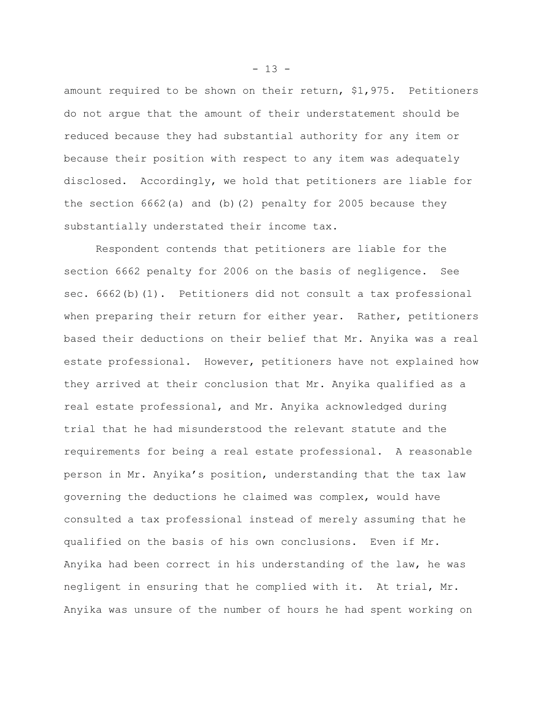amount required to be shown on their return, \$1,975. Petitioners do not argue that the amount of their understatement should be reduced because they had substantial authority for any item or because their position with respect to any item was adequately disclosed. Accordingly, we hold that petitioners are liable for the section  $6662(a)$  and (b)(2) penalty for 2005 because they substantially understated their income tax.

Respondent contends that petitioners are liable for the section 6662 penalty for 2006 on the basis of negligence. See sec. 6662(b)(1). Petitioners did not consult a tax professional when preparing their return for either year. Rather, petitioners based their deductions on their belief that Mr. Anyika was a real estate professional. However, petitioners have not explained how they arrived at their conclusion that Mr. Anyika qualified as a real estate professional, and Mr. Anyika acknowledged during trial that he had misunderstood the relevant statute and the requirements for being a real estate professional. A reasonable person in Mr. Anyika's position, understanding that the tax law governing the deductions he claimed was complex, would have consulted a tax professional instead of merely assuming that he qualified on the basis of his own conclusions. Even if Mr. Anyika had been correct in his understanding of the law, he was negligent in ensuring that he complied with it. At trial, Mr. Anyika was unsure of the number of hours he had spent working on

 $- 13 -$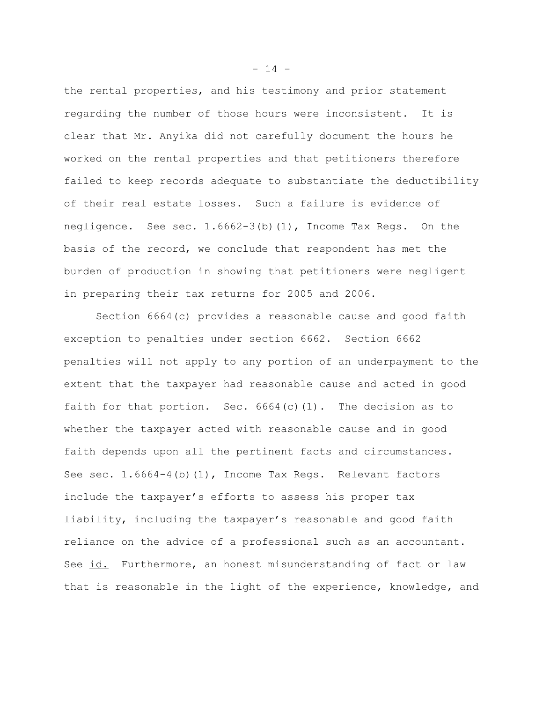the rental properties, and his testimony and prior statement regarding the number of those hours were inconsistent. It is clear that Mr. Anyika did not carefully document the hours he worked on the rental properties and that petitioners therefore failed to keep records adequate to substantiate the deductibility of their real estate losses. Such a failure is evidence of negligence. See sec. 1.6662-3(b)(1), Income Tax Regs. On the basis of the record, we conclude that respondent has met the burden of production in showing that petitioners were negligent in preparing their tax returns for 2005 and 2006.

Section 6664(c) provides a reasonable cause and good faith exception to penalties under section 6662. Section 6662 penalties will not apply to any portion of an underpayment to the extent that the taxpayer had reasonable cause and acted in good faith for that portion. Sec.  $6664(c)(1)$ . The decision as to whether the taxpayer acted with reasonable cause and in good faith depends upon all the pertinent facts and circumstances. See sec. 1.6664-4(b)(1), Income Tax Regs. Relevant factors include the taxpayer's efforts to assess his proper tax liability, including the taxpayer's reasonable and good faith reliance on the advice of a professional such as an accountant. See id. Furthermore, an honest misunderstanding of fact or law that is reasonable in the light of the experience, knowledge, and

 $- 14 -$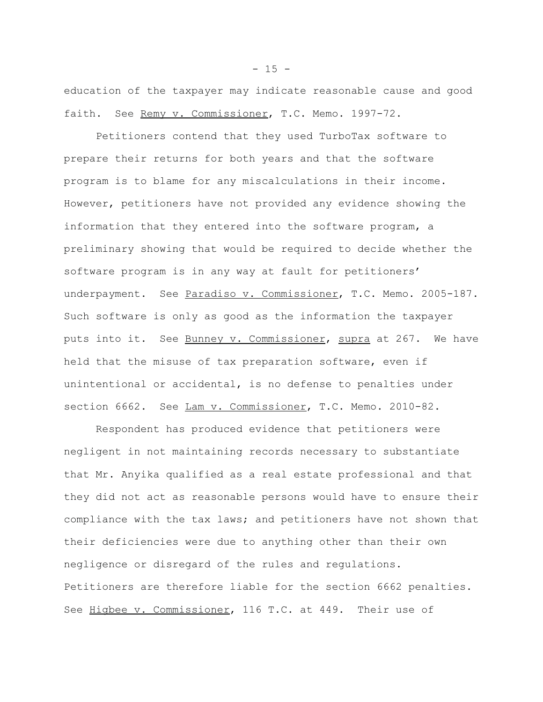education of the taxpayer may indicate reasonable cause and good faith. See Remy v. Commissioner, T.C. Memo. 1997-72.

Petitioners contend that they used TurboTax software to prepare their returns for both years and that the software program is to blame for any miscalculations in their income. However, petitioners have not provided any evidence showing the information that they entered into the software program, a preliminary showing that would be required to decide whether the software program is in any way at fault for petitioners' underpayment. See Paradiso v. Commissioner, T.C. Memo. 2005-187. Such software is only as good as the information the taxpayer puts into it. See Bunney v. Commissioner, supra at 267. We have held that the misuse of tax preparation software, even if unintentional or accidental, is no defense to penalties under section 6662. See Lam v. Commissioner, T.C. Memo. 2010-82.

Respondent has produced evidence that petitioners were negligent in not maintaining records necessary to substantiate that Mr. Anyika qualified as a real estate professional and that they did not act as reasonable persons would have to ensure their compliance with the tax laws; and petitioners have not shown that their deficiencies were due to anything other than their own negligence or disregard of the rules and regulations. Petitioners are therefore liable for the section 6662 penalties. See Higbee v. Commissioner, 116 T.C. at 449. Their use of

 $- 15 -$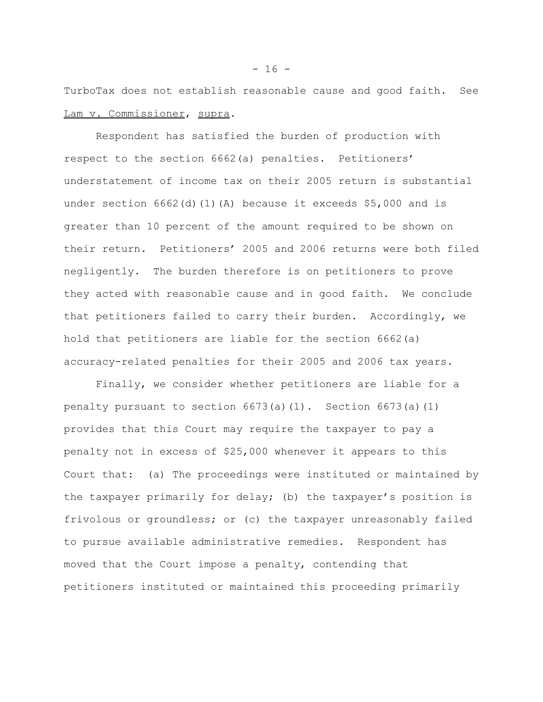TurboTax does not establish reasonable cause and good faith. See Lam v. Commissioner, supra.

Respondent has satisfied the burden of production with respect to the section 6662(a) penalties. Petitioners' understatement of income tax on their 2005 return is substantial under section 6662(d)(1)(A) because it exceeds \$5,000 and is greater than 10 percent of the amount required to be shown on their return. Petitioners' 2005 and 2006 returns were both filed negligently. The burden therefore is on petitioners to prove they acted with reasonable cause and in good faith. We conclude that petitioners failed to carry their burden. Accordingly, we hold that petitioners are liable for the section 6662(a) accuracy-related penalties for their 2005 and 2006 tax years.

Finally, we consider whether petitioners are liable for a penalty pursuant to section  $6673(a)(1)$ . Section  $6673(a)(1)$ provides that this Court may require the taxpayer to pay a penalty not in excess of \$25,000 whenever it appears to this Court that: (a) The proceedings were instituted or maintained by the taxpayer primarily for delay; (b) the taxpayer's position is frivolous or groundless; or (c) the taxpayer unreasonably failed to pursue available administrative remedies. Respondent has moved that the Court impose a penalty, contending that petitioners instituted or maintained this proceeding primarily

 $- 16 -$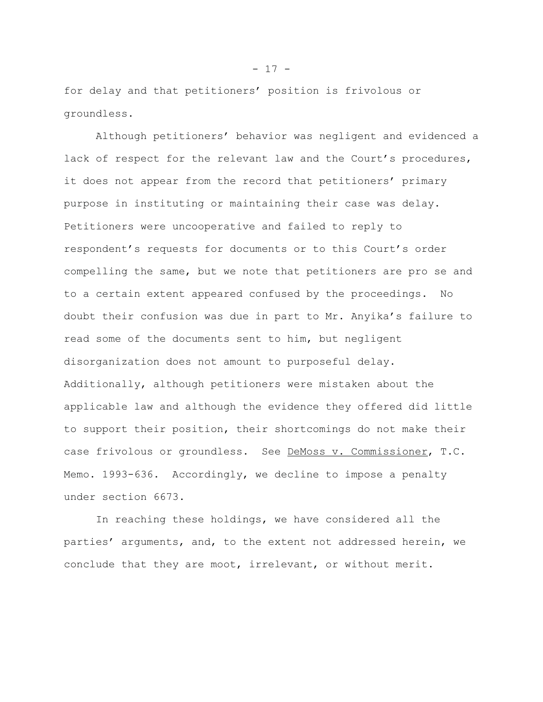for delay and that petitioners' position is frivolous or groundless.

Although petitioners' behavior was negligent and evidenced a lack of respect for the relevant law and the Court's procedures, it does not appear from the record that petitioners' primary purpose in instituting or maintaining their case was delay. Petitioners were uncooperative and failed to reply to respondent's requests for documents or to this Court's order compelling the same, but we note that petitioners are pro se and to a certain extent appeared confused by the proceedings. No doubt their confusion was due in part to Mr. Anyika's failure to read some of the documents sent to him, but negligent disorganization does not amount to purposeful delay. Additionally, although petitioners were mistaken about the applicable law and although the evidence they offered did little to support their position, their shortcomings do not make their case frivolous or groundless. See DeMoss v. Commissioner, T.C. Memo. 1993-636. Accordingly, we decline to impose a penalty under section 6673.

In reaching these holdings, we have considered all the parties' arguments, and, to the extent not addressed herein, we conclude that they are moot, irrelevant, or without merit.